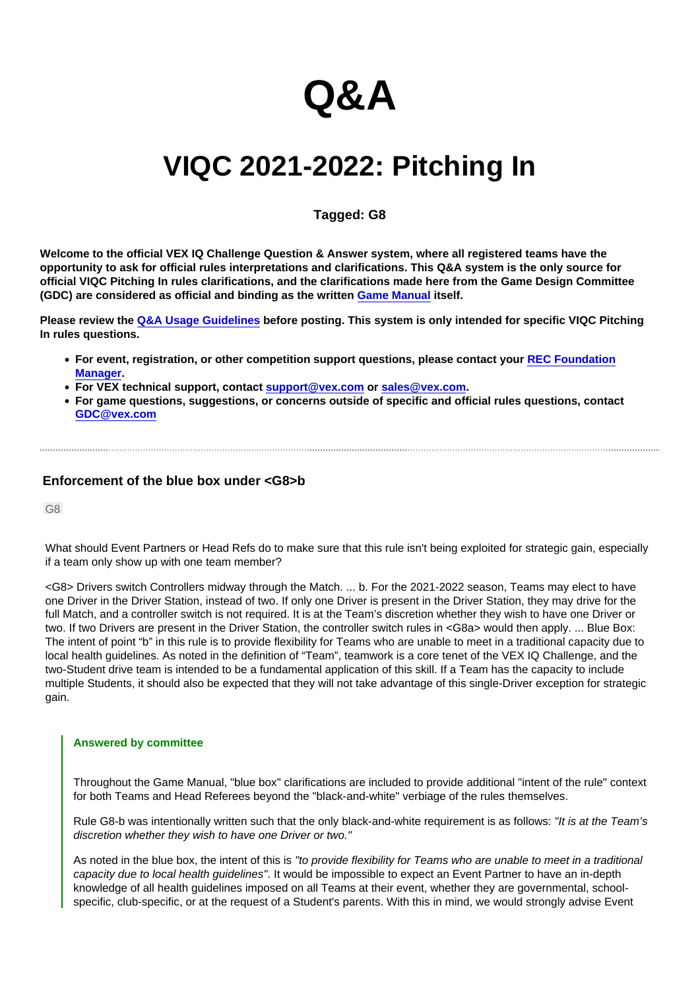# Q&A

# VIQC 2021-2022: Pitching In

## Tagged: G8

Welcome to the official VEX IQ Challenge Question & Answer system, where all registered teams have the opportunity to ask for official rules interpretations and clarifications. This Q&A system is the only source for official VIQC Pitching In rules clarifications, and the clarifications made here from the Game Design Committee (GDC) are considered as official and binding as the written [Game Manual](https://link.vex.com/docs/viqc/pitching-in/Game-Manual) itself.

Please review the [Q&A Usage Guidelines](https://robotevents.com/VIQC/2021-2022/QA/guidelines) before posting. This system is only intended for specific VIQC Pitching In rules questions.

- For event, registration, or other competition support questions, please contact your [REC Foundation](http://www.robotevents.com/support) [Manager](http://www.robotevents.com/support).
- For VEX technical support, contact [support@vex.com](mailto:support@vex.com) or [sales@vex.com](mailto:sales@vex.com) .
- For game questions, suggestions, or concerns outside of specific and official rules questions, contact [GDC@vex.com](mailto:GDC@vex.com)

### Enforcement of the blue box under <G8>b

G8

What should Event Partners or Head Refs do to make sure that this rule isn't being exploited for strategic gain, especially if a team only show up with one team member?

<G8> Drivers switch Controllers midway through the Match. ... b. For the 2021-2022 season, Teams may elect to have one Driver in the Driver Station, instead of two. If only one Driver is present in the Driver Station, they may drive for the full Match, and a controller switch is not required. It is at the Team's discretion whether they wish to have one Driver or two. If two Drivers are present in the Driver Station, the controller switch rules in <G8a> would then apply. ... Blue Box: The intent of point "b" in this rule is to provide flexibility for Teams who are unable to meet in a traditional capacity due to local health guidelines. As noted in the definition of "Team", teamwork is a core tenet of the VEX IQ Challenge, and the two-Student drive team is intended to be a fundamental application of this skill. If a Team has the capacity to include multiple Students, it should also be expected that they will not take advantage of this single-Driver exception for strategic gain.

#### Answered by committee

Throughout the Game Manual, "blue box" clarifications are included to provide additional "intent of the rule" context for both Teams and Head Referees beyond the "black-and-white" verbiage of the rules themselves.

Rule G8-b was intentionally written such that the only black-and-white requirement is as follows: "It is at the Team's discretion whether they wish to have one Driver or two."

As noted in the blue box, the intent of this is "to provide flexibility for Teams who are unable to meet in a traditional capacity due to local health guidelines". It would be impossible to expect an Event Partner to have an in-depth knowledge of all health guidelines imposed on all Teams at their event, whether they are governmental, schoolspecific, club-specific, or at the request of a Student's parents. With this in mind, we would strongly advise Event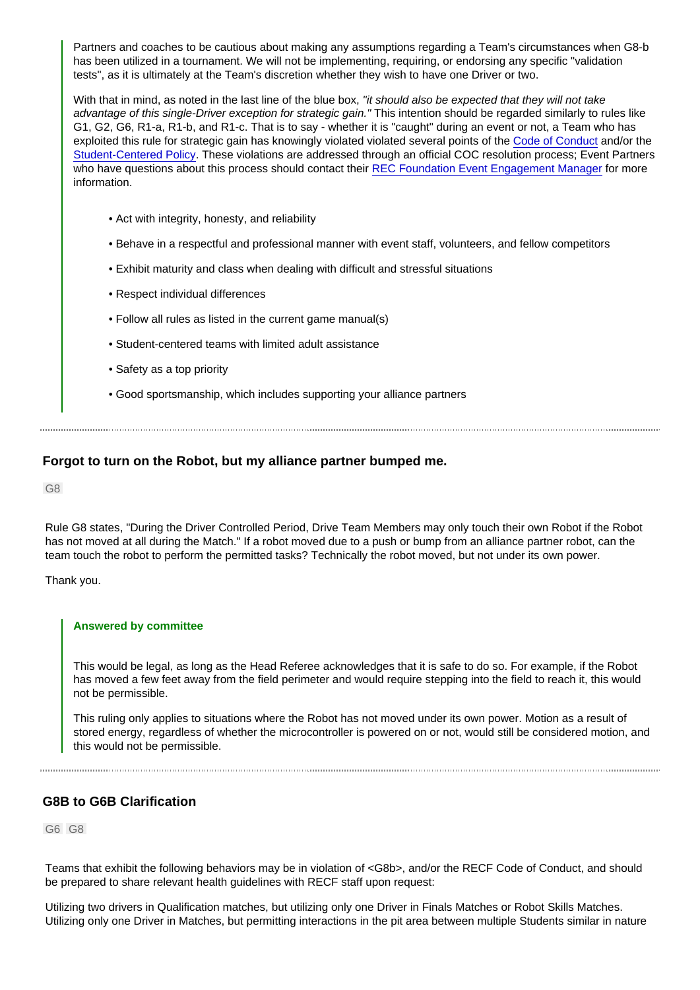Partners and coaches to be cautious about making any assumptions regarding a Team's circumstances when G8-b has been utilized in a tournament. We will not be implementing, requiring, or endorsing any specific "validation tests", as it is ultimately at the Team's discretion whether they wish to have one Driver or two.

With that in mind, as noted in the last line of the blue box, "it should also be expected that they will not take advantage of this single-Driver exception for strategic gain." This intention should be regarded similarly to rules like G1, G2, G6, R1-a, R1-b, and R1-c. That is to say - whether it is "caught" during an event or not, a Team who has exploited this rule for strategic gain has knowingly violated violated several points of the [Code of Conduct](https://www.roboticseducation.org/codeofconduct) and/or the [Student-Centered Policy.](https://www.roboticseducation.org/studentcenteredpolicy) These violations are addressed through an official COC resolution process; Event Partners who have questions about this process should contact their [REC Foundation Event Engagement Manager](https://www.robotevents.com/support) for more information.

- Act with integrity, honesty, and reliability
- Behave in a respectful and professional manner with event staff, volunteers, and fellow competitors
- Exhibit maturity and class when dealing with difficult and stressful situations
- Respect individual differences
- Follow all rules as listed in the current game manual(s)
- Student-centered teams with limited adult assistance
- Safety as a top priority
- Good sportsmanship, which includes supporting your alliance partners

Forgot to turn on the Robot, but my alliance partner bumped me.

G8

Rule G8 states, "During the Driver Controlled Period, Drive Team Members may only touch their own Robot if the Robot has not moved at all during the Match." If a robot moved due to a push or bump from an alliance partner robot, can the team touch the robot to perform the permitted tasks? Technically the robot moved, but not under its own power.

Thank you.

#### Answered by committee

This would be legal, as long as the Head Referee acknowledges that it is safe to do so. For example, if the Robot has moved a few feet away from the field perimeter and would require stepping into the field to reach it, this would not be permissible.

This ruling only applies to situations where the Robot has not moved under its own power. Motion as a result of stored energy, regardless of whether the microcontroller is powered on or not, would still be considered motion, and this would not be permissible.

#### G8B to G6B Clarification

G6 G8

Teams that exhibit the following behaviors may be in violation of <G8b>, and/or the RECF Code of Conduct, and should be prepared to share relevant health guidelines with RECF staff upon request:

Utilizing two drivers in Qualification matches, but utilizing only one Driver in Finals Matches or Robot Skills Matches. Utilizing only one Driver in Matches, but permitting interactions in the pit area between multiple Students similar in nature